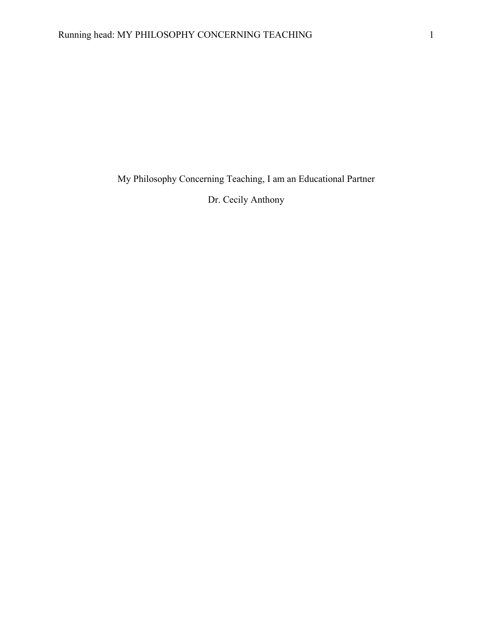My Philosophy Concerning Teaching, I am an Educational Partner

Dr. Cecily Anthony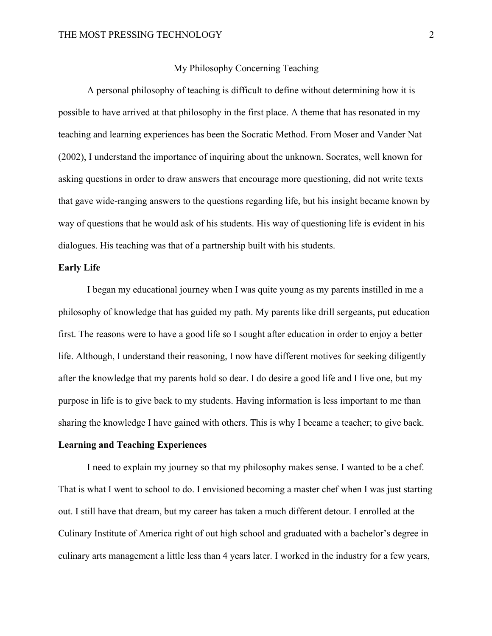## My Philosophy Concerning Teaching

A personal philosophy of teaching is difficult to define without determining how it is possible to have arrived at that philosophy in the first place. A theme that has resonated in my teaching and learning experiences has been the Socratic Method. From Moser and Vander Nat (2002), I understand the importance of inquiring about the unknown. Socrates, well known for asking questions in order to draw answers that encourage more questioning, did not write texts that gave wide-ranging answers to the questions regarding life, but his insight became known by way of questions that he would ask of his students. His way of questioning life is evident in his dialogues. His teaching was that of a partnership built with his students.

## **Early Life**

I began my educational journey when I was quite young as my parents instilled in me a philosophy of knowledge that has guided my path. My parents like drill sergeants, put education first. The reasons were to have a good life so I sought after education in order to enjoy a better life. Although, I understand their reasoning, I now have different motives for seeking diligently after the knowledge that my parents hold so dear. I do desire a good life and I live one, but my purpose in life is to give back to my students. Having information is less important to me than sharing the knowledge I have gained with others. This is why I became a teacher; to give back.

## **Learning and Teaching Experiences**

I need to explain my journey so that my philosophy makes sense. I wanted to be a chef. That is what I went to school to do. I envisioned becoming a master chef when I was just starting out. I still have that dream, but my career has taken a much different detour. I enrolled at the Culinary Institute of America right of out high school and graduated with a bachelor's degree in culinary arts management a little less than 4 years later. I worked in the industry for a few years,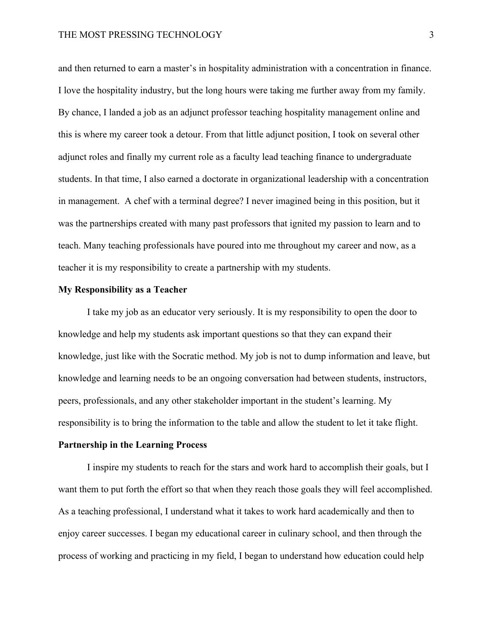and then returned to earn a master's in hospitality administration with a concentration in finance. I love the hospitality industry, but the long hours were taking me further away from my family. By chance, I landed a job as an adjunct professor teaching hospitality management online and this is where my career took a detour. From that little adjunct position, I took on several other adjunct roles and finally my current role as a faculty lead teaching finance to undergraduate students. In that time, I also earned a doctorate in organizational leadership with a concentration in management. A chef with a terminal degree? I never imagined being in this position, but it was the partnerships created with many past professors that ignited my passion to learn and to teach. Many teaching professionals have poured into me throughout my career and now, as a teacher it is my responsibility to create a partnership with my students.

### **My Responsibility as a Teacher**

I take my job as an educator very seriously. It is my responsibility to open the door to knowledge and help my students ask important questions so that they can expand their knowledge, just like with the Socratic method. My job is not to dump information and leave, but knowledge and learning needs to be an ongoing conversation had between students, instructors, peers, professionals, and any other stakeholder important in the student's learning. My responsibility is to bring the information to the table and allow the student to let it take flight.

## **Partnership in the Learning Process**

I inspire my students to reach for the stars and work hard to accomplish their goals, but I want them to put forth the effort so that when they reach those goals they will feel accomplished. As a teaching professional, I understand what it takes to work hard academically and then to enjoy career successes. I began my educational career in culinary school, and then through the process of working and practicing in my field, I began to understand how education could help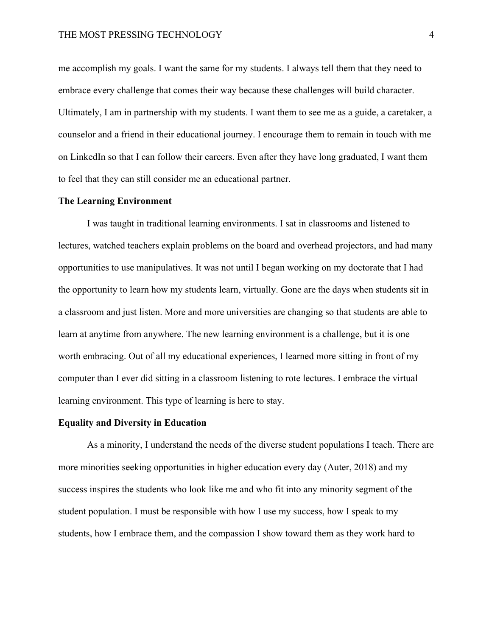me accomplish my goals. I want the same for my students. I always tell them that they need to embrace every challenge that comes their way because these challenges will build character. Ultimately, I am in partnership with my students. I want them to see me as a guide, a caretaker, a counselor and a friend in their educational journey. I encourage them to remain in touch with me on LinkedIn so that I can follow their careers. Even after they have long graduated, I want them to feel that they can still consider me an educational partner.

## **The Learning Environment**

I was taught in traditional learning environments. I sat in classrooms and listened to lectures, watched teachers explain problems on the board and overhead projectors, and had many opportunities to use manipulatives. It was not until I began working on my doctorate that I had the opportunity to learn how my students learn, virtually. Gone are the days when students sit in a classroom and just listen. More and more universities are changing so that students are able to learn at anytime from anywhere. The new learning environment is a challenge, but it is one worth embracing. Out of all my educational experiences, I learned more sitting in front of my computer than I ever did sitting in a classroom listening to rote lectures. I embrace the virtual learning environment. This type of learning is here to stay.

### **Equality and Diversity in Education**

As a minority, I understand the needs of the diverse student populations I teach. There are more minorities seeking opportunities in higher education every day (Auter, 2018) and my success inspires the students who look like me and who fit into any minority segment of the student population. I must be responsible with how I use my success, how I speak to my students, how I embrace them, and the compassion I show toward them as they work hard to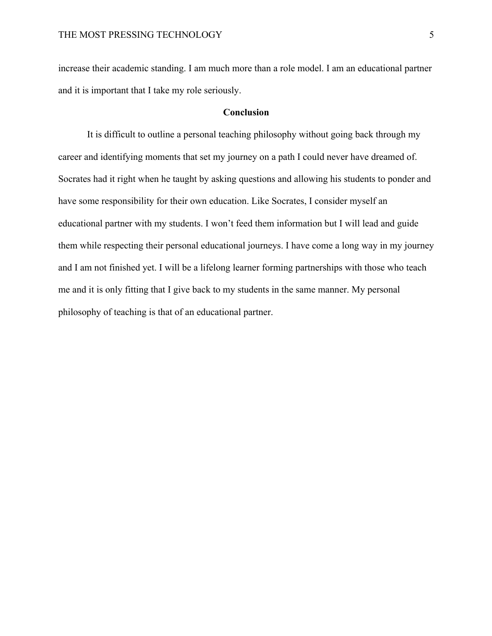increase their academic standing. I am much more than a role model. I am an educational partner and it is important that I take my role seriously.

# **Conclusion**

It is difficult to outline a personal teaching philosophy without going back through my career and identifying moments that set my journey on a path I could never have dreamed of. Socrates had it right when he taught by asking questions and allowing his students to ponder and have some responsibility for their own education. Like Socrates, I consider myself an educational partner with my students. I won't feed them information but I will lead and guide them while respecting their personal educational journeys. I have come a long way in my journey and I am not finished yet. I will be a lifelong learner forming partnerships with those who teach me and it is only fitting that I give back to my students in the same manner. My personal philosophy of teaching is that of an educational partner.